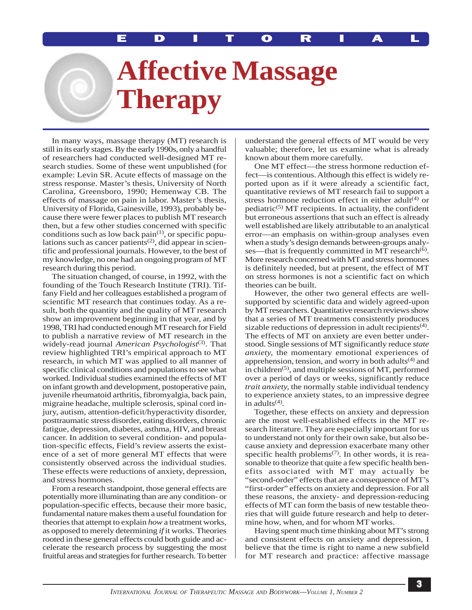## **Affective Massage Therapy**

In many ways, massage therapy (MT) research is still in its early stages. By the early 1990s, only a handful of researchers had conducted well-designed MT research studies. Some of these went unpublished (for example: Levin SR. Acute effects of massage on the stress response. Master's thesis, University of North Carolina, Greensboro, 1990; Hemenway CB. The effects of massage on pain in labor. Master's thesis, University of Florida, Gainesville, 1993), probably because there were fewer places to publish MT research then, but a few other studies concerned with specific conditions such as low back  $\text{pain}^{(1)}$ , or specific populations such as cancer patients<sup> $(2)$ </sup>, did appear in scientific and professional journals. However, to the best of my knowledge, no one had an ongoing program of MT research during this period.

The situation changed, of course, in 1992, with the founding of the Touch Research Institute (TRI). Tiffany Field and her colleagues established a program of scientific MT research that continues today. As a result, both the quantity and the quality of MT research show an improvement beginning in that year, and by 1998, TRI had conducted enough MT research for Field to publish a narrative review of MT research in the widely-read journal *American Psychologist*<sup>(3)</sup>. That review highlighted TRI's empirical approach to MT research, in which MT was applied to all manner of specific clinical conditions and populations to see what worked. Individual studies examined the effects of MT on infant growth and development, postoperative pain, juvenile rheumatoid arthritis, fibromyalgia, back pain, migraine headache, multiple sclerosis, spinal cord injury, autism, attention-deficit/hyperactivity disorder, posttraumatic stress disorder, eating disorders, chronic fatigue, depression, diabetes, asthma, HIV, and breast cancer. In addition to several condition- and population-specific effects, Field's review asserts the existence of a set of more general MT effects that were consistently observed across the individual studies. These effects were reductions of anxiety, depression, and stress hormones.

From a research standpoint, those general effects are potentially more illuminating than are any condition- or population-specific effects, because their more basic, fundamental nature makes them a useful foundation for theories that attempt to explain *how* a treatment works, as opposed to merely determining *if* it works. Theories rooted in these general effects could both guide and accelerate the research process by suggesting the most fruitful areas and strategies for further research. To better

understand the general effects of MT would be very valuable; therefore, let us examine what is already known about them more carefully.

One MT effect—the stress hormone reduction effect—is contentious. Although this effect is widely reported upon as if it were already a scientific fact, quantitative reviews of MT research fail to support a stress hormone reduction effect in either adult<sup>(4)</sup> or pediatric<sup>(5)</sup> MT recipients. In actuality, the confident but erroneous assertions that such an effect is already well established are likely attributable to an analytical error—an emphasis on within-group analyses even when a study's design demands between-groups analyses—that is frequently committed in MT research $(6)$ . More research concerned with MT and stress hormones is definitely needed, but at present, the effect of MT on stress hormones is not a scientific fact on which theories can be built.

However, the other two general effects are wellsupported by scientific data and widely agreed-upon by MT researchers. Quantitative research reviews show that a series of MT treatments consistently produces sizable reductions of depression in adult recipients<sup> $(4)$ </sup>. The effects of MT on anxiety are even better understood. Single sessions of MT significantly reduce *state anxiety,* the momentary emotional experiences of apprehension, tension, and worry in both adults $(4)$  and in children(5), and multiple sessions of MT, performed over a period of days or weeks, significantly reduce *trait anxiety,* the normally stable individual tendency to experience anxiety states, to an impressive degree in adults $(4)$ .

Together, these effects on anxiety and depression are the most well-established effects in the MT research literature. They are especially important for us to understand not only for their own sake, but also because anxiety and depression exacerbate many other specific health problems<sup> $(7)$ </sup>. In other words, it is reasonable to theorize that quite a few specific health benefits associated with MT may actually be "second-order" effects that are a consequence of MT's "first-order" effects on anxiety and depression. For all these reasons, the anxiety- and depression-reducing effects of MT can form the basis of new testable theories that will guide future research and help to determine how, when, and for whom MT works.

Having spent much time thinking about MT's strong and consistent effects on anxiety and depression, I believe that the time is right to name a new subfield for MT research and practice: affective massage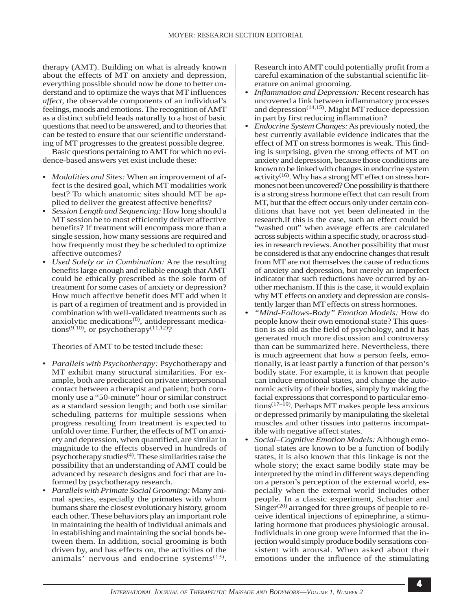therapy (AMT). Building on what is already known about the effects of MT on anxiety and depression, everything possible should now be done to better understand and to optimize the ways that MT influences *affect,* the observable components of an individual's feelings, moods and emotions. The recognition of AMT as a distinct subfield leads naturally to a host of basic questions that need to be answered, and to theories that can be tested to ensure that our scientific understanding of MT progresses to the greatest possible degree.

Basic questions pertaining to AMT for which no evidence-based answers yet exist include these:

- **•** *Modalities and Sites:* When an improvement of affect is the desired goal, which MT modalities work best? To which anatomic sites should MT be applied to deliver the greatest affective benefits?
- **•** *Session Length and Sequencing:* How long should a MT session be to most efficiently deliver affective benefits? If treatment will encompass more than a single session, how many sessions are required and how frequently must they be scheduled to optimize affective outcomes?
- **•** *Used Solely or in Combination:* Are the resulting benefits large enough and reliable enough that AMT could be ethically prescribed as the sole form of treatment for some cases of anxiety or depression? How much affective benefit does MT add when it is part of a regimen of treatment and is provided in combination with well-validated treatments such as anxiolytic medications $(8)$ , antidepressant medications<sup> $(9,10)$ </sup>, or psychotherapy<sup> $(11,12)$ </sup>?

Theories of AMT to be tested include these:

- **•** *Parallels with Psychotherapy:* Psychotherapy and MT exhibit many structural similarities. For example, both are predicated on private interpersonal contact between a therapist and patient; both commonly use a "50-minute" hour or similar construct as a standard session length; and both use similar scheduling patterns for multiple sessions when progress resulting from treatment is expected to unfold over time. Further, the effects of MT on anxiety and depression, when quantified, are similar in magnitude to the effects observed in hundreds of psychotherapy studies $(4)$ . These similarities raise the possibility that an understanding of AMT could be advanced by research designs and foci that are informed by psychotherapy research.
- **•** *Parallels with Primate Social Grooming:* Many animal species, especially the primates with whom humans share the closest evolutionary history, groom each other. These behaviors play an important role in maintaining the health of individual animals and in establishing and maintaining the social bonds between them. In addition, social grooming is both driven by, and has effects on, the activities of the animals' nervous and endocrine systems $^{(13)}$ .

Research into AMT could potentially profit from a careful examination of the substantial scientific literature on animal grooming.

- **•** *Inflammation and Depression:* Recent research has uncovered a link between inflammatory processes and depression<sup> $(14,15)$ </sup>. Might MT reduce depression in part by first reducing inflammation?
- **•** *Endocrine System Changes:* As previously noted, the best currently available evidence indicates that the effect of MT on stress hormones is weak. This finding is surprising, given the strong effects of MT on anxiety and depression, because those conditions are known to be linked with changes in endocrine system activity<sup>(16)</sup>. Why has a strong MT effect on stress hormones not been uncovered? One possibility is that there is a strong stress hormone effect that can result from MT, but that the effect occurs only under certain conditions that have not yet been delineated in the research.If this is the case, such an effect could be "washed out" when average effects are calculated across subjects within a specific study, or across studies in research reviews. Another possibility that must be considered is that any endocrine changes that result from MT are not themselves the cause of reductions of anxiety and depression, but merely an imperfect indicator that such reductions have occurred by another mechanism. If this is the case, it would explain why MT effects on anxiety and depression are consistently larger than MT effects on stress hormones.
- **•** *"Mind-Follows-Body" Emotion Models:* How do people know their own emotional state? This question is as old as the field of psychology, and it has generated much more discussion and controversy than can be summarized here. Nevertheless, there is much agreement that how a person feels, emotionally, is at least partly a function of that person's bodily state. For example, it is known that people can induce emotional states, and change the autonomic activity of their bodies, simply by making the facial expressions that correspond to particular emotions(17–19). Perhaps MT makes people less anxious or depressed primarily by manipulating the skeletal muscles and other tissues into patterns incompatible with negative affect states.
- **•** *Social–Cognitive Emotion Models:* Although emotional states are known to be a function of bodily states, it is also known that this linkage is not the whole story; the exact same bodily state may be interpreted by the mind in different ways depending on a person's perception of the external world, especially when the external world includes other people. In a classic experiment, Schachter and  $Singer^{(20)}$  arranged for three groups of people to receive identical injections of epinephrine, a stimulating hormone that produces physiologic arousal. Individuals in one group were informed that the injection would simply produce bodily sensations consistent with arousal. When asked about their emotions under the influence of the stimulating